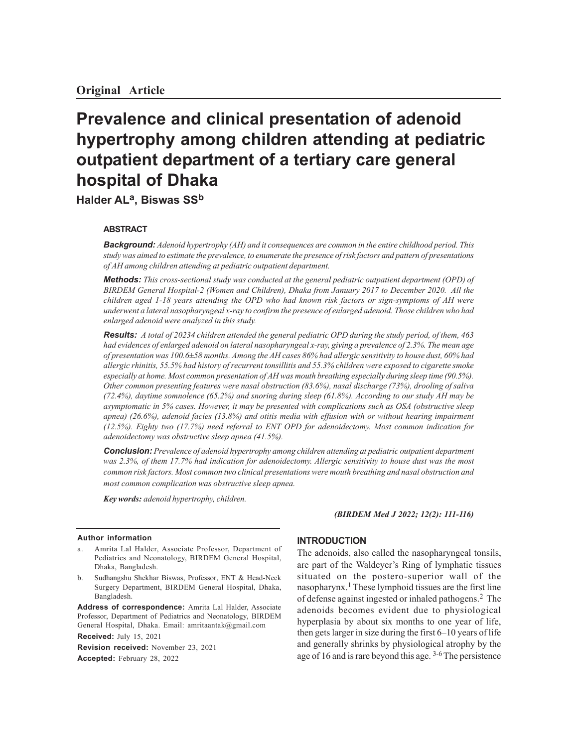# **Prevalence and clinical presentation of adenoid hypertrophy among children attending at pediatric outpatient department of a tertiary care general hospital of Dhaka**

**Halder ALa, Biswas SS<sup>b</sup>**

## **ABSTRACT**

*Background: Adenoid hypertrophy (AH) and it consequences are common in the entire childhood period. This study was aimed to estimate the prevalence, to enumerate the presence of risk factors and pattern of presentations of AH among children attending at pediatric outpatient department.*

*Methods: This cross-sectional study was conducted at the general pediatric outpatient department (OPD) of BIRDEM General Hospital-2 (Women and Children), Dhaka from January 2017 to December 2020. All the children aged 1-18 years attending the OPD who had known risk factors or sign-symptoms of AH were underwent a lateral nasopharyngeal x-ray to confirm the presence of enlarged adenoid. Those children who had enlarged adenoid were analyzed in this study.*

*Results: A total of 20234 children attended the general pediatric OPD during the study period, of them, 463 had evidences of enlarged adenoid on lateral nasopharyngeal x-ray, giving a prevalence of 2.3%. The mean age of presentation was 100.6±58 months. Among the AH cases 86% had allergic sensitivity to house dust, 60% had allergic rhinitis, 55.5% had history of recurrent tonsillitis and 55.3% children were exposed to cigarette smoke especially at home. Most common presentation of AH was mouth breathing especially during sleep time (90.5%). Other common presenting features were nasal obstruction (83.6%), nasal discharge (73%), drooling of saliva (72.4%), daytime somnolence (65.2%) and snoring during sleep (61.8%). According to our study AH may be asymptomatic in 5% cases. However, it may be presented with complications such as OSA (obstructive sleep apnea) (26.6%), adenoid facies (13.8%) and otitis media with effusion with or without hearing impairment (12.5%). Eighty two (17.7%) need referral to ENT OPD for adenoidectomy. Most common indication for adenoidectomy was obstructive sleep apnea (41.5%).*

*Conclusion: Prevalence of adenoid hypertrophy among children attending at pediatric outpatient department was 2.3%, of them 17.7% had indication for adenoidectomy. Allergic sensitivity to house dust was the most common risk factors. Most common two clinical presentations were mouth breathing and nasal obstruction and most common complication was obstructive sleep apnea.*

*Key words: adenoid hypertrophy, children.*

#### **Author information**

- a. Amrita Lal Halder, Associate Professor, Department of Pediatrics and Neonatology, BIRDEM General Hospital, Dhaka, Bangladesh.
- b. Sudhangshu Shekhar Biswas, Professor, ENT & Head-Neck Surgery Department, BIRDEM General Hospital, Dhaka, Bangladesh.

**Address of correspondence:** Amrita Lal Halder, Associate Professor, Department of Pediatrics and Neonatology, BIRDEM General Hospital, Dhaka. Email: amritaantak@gmail.com **Received:** July 15, 2021

**Revision received:** November 23, 2021 **Accepted:** February 28, 2022

#### *(BIRDEM Med J 2022; 12(2): 111-116)*

## **INTRODUCTION**

The adenoids, also called the nasopharyngeal tonsils, are part of the Waldeyer's Ring of lymphatic tissues situated on the postero-superior wall of the nasopharynx.<sup>1</sup> These lymphoid tissues are the first line of defense against ingested or inhaled pathogens.2 The adenoids becomes evident due to physiological hyperplasia by about six months to one year of life, then gets larger in size during the first 6–10 years of life and generally shrinks by physiological atrophy by the age of 16 and is rare beyond this age. <sup>3-6</sup> The persistence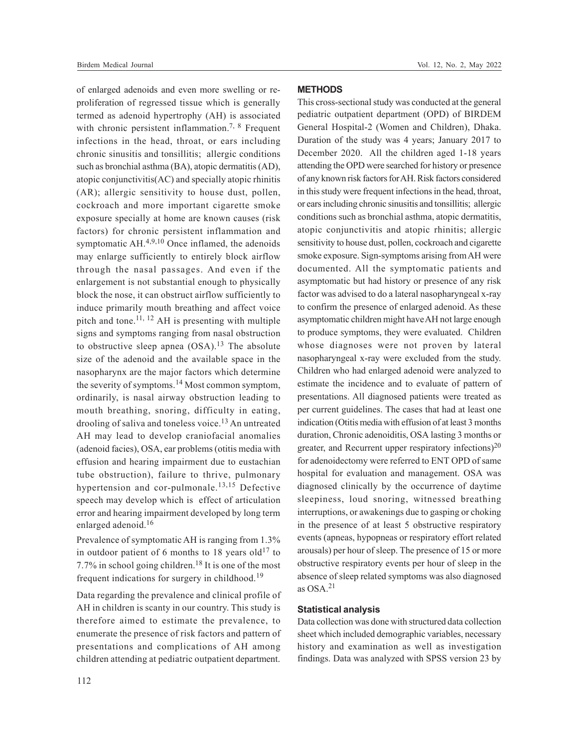Birdem Medical Journal **Vol. 12, No. 2, May 2022** 

of enlarged adenoids and even more swelling or reproliferation of regressed tissue which is generally termed as adenoid hypertrophy (AH) is associated with chronic persistent inflammation.<sup>7, 8</sup> Frequent infections in the head, throat, or ears including chronic sinusitis and tonsillitis; allergic conditions such as bronchial asthma (BA), atopic dermatitis (AD), atopic conjunctivitis(AC) and specially atopic rhinitis (AR); allergic sensitivity to house dust, pollen, cockroach and more important cigarette smoke exposure specially at home are known causes (risk factors) for chronic persistent inflammation and symptomatic  $AH^{4,9,10}$  Once inflamed, the adenoids may enlarge sufficiently to entirely block airflow through the nasal passages. And even if the enlargement is not substantial enough to physically block the nose, it can obstruct airflow sufficiently to induce primarily mouth breathing and affect voice pitch and tone.<sup>11, 12</sup> AH is presenting with multiple signs and symptoms ranging from nasal obstruction to obstructive sleep apnea  $(OSA).<sup>13</sup>$  The absolute size of the adenoid and the available space in the nasopharynx are the major factors which determine the severity of symptoms.<sup>14</sup> Most common symptom, ordinarily, is nasal airway obstruction leading to mouth breathing, snoring, difficulty in eating, drooling of saliva and toneless voice.<sup>13</sup> An untreated AH may lead to develop craniofacial anomalies (adenoid facies), OSA, ear problems (otitis media with effusion and hearing impairment due to eustachian tube obstruction), failure to thrive, pulmonary hypertension and cor-pulmonale.<sup>13,15</sup> Defective speech may develop which is effect of articulation error and hearing impairment developed by long term enlarged adenoid.<sup>16</sup>

Prevalence of symptomatic AH is ranging from 1.3% in outdoor patient of 6 months to 18 years old<sup>17</sup> to 7.7% in school going children.<sup>18</sup> It is one of the most frequent indications for surgery in childhood.<sup>19</sup>

Data regarding the prevalence and clinical profile of AH in children is scanty in our country. This study is therefore aimed to estimate the prevalence, to enumerate the presence of risk factors and pattern of presentations and complications of AH among children attending at pediatric outpatient department.

## **METHODS**

This cross-sectional study was conducted at the general pediatric outpatient department (OPD) of BIRDEM General Hospital-2 (Women and Children), Dhaka. Duration of the study was 4 years; January 2017 to December 2020. All the children aged 1-18 years attending the OPD were searched for history or presence of any known risk factors for AH. Risk factors considered in this study were frequent infections in the head, throat, or ears including chronic sinusitis and tonsillitis; allergic conditions such as bronchial asthma, atopic dermatitis, atopic conjunctivitis and atopic rhinitis; allergic sensitivity to house dust, pollen, cockroach and cigarette smoke exposure. Sign-symptoms arising from AH were documented. All the symptomatic patients and asymptomatic but had history or presence of any risk factor was advised to do a lateral nasopharyngeal x-ray to confirm the presence of enlarged adenoid. As these asymptomatic children might have AH not large enough to produce symptoms, they were evaluated. Children whose diagnoses were not proven by lateral nasopharyngeal x-ray were excluded from the study. Children who had enlarged adenoid were analyzed to estimate the incidence and to evaluate of pattern of presentations. All diagnosed patients were treated as per current guidelines. The cases that had at least one indication (Otitis media with effusion of at least 3 months duration, Chronic adenoiditis, OSA lasting 3 months or greater, and Recurrent upper respiratory infections)<sup>20</sup> for adenoidectomy were referred to ENT OPD of same hospital for evaluation and management. OSA was diagnosed clinically by the occurrence of daytime sleepiness, loud snoring, witnessed breathing interruptions, or awakenings due to gasping or choking in the presence of at least 5 obstructive respiratory events (apneas, hypopneas or respiratory effort related arousals) per hour of sleep. The presence of 15 or more obstructive respiratory events per hour of sleep in the absence of sleep related symptoms was also diagnosed as  $OSA<sup>21</sup>$ 

#### **Statistical analysis**

Data collection was done with structured data collection sheet which included demographic variables, necessary history and examination as well as investigation findings. Data was analyzed with SPSS version 23 by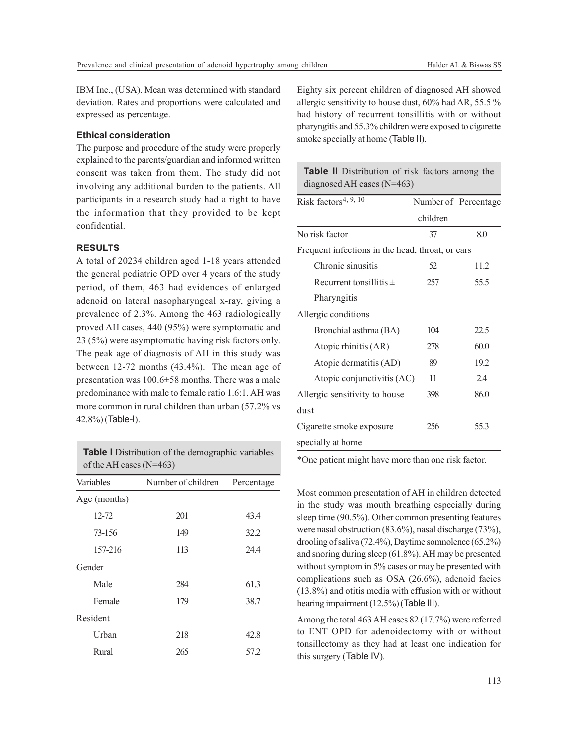IBM Inc., (USA). Mean was determined with standard deviation. Rates and proportions were calculated and expressed as percentage.

## **Ethical consideration**

The purpose and procedure of the study were properly explained to the parents/guardian and informed written consent was taken from them. The study did not involving any additional burden to the patients. All participants in a research study had a right to have the information that they provided to be kept confidential.

### **RESULTS**

A total of 20234 children aged 1-18 years attended the general pediatric OPD over 4 years of the study period, of them, 463 had evidences of enlarged adenoid on lateral nasopharyngeal x-ray, giving a prevalence of 2.3%. Among the 463 radiologically proved AH cases, 440 (95%) were symptomatic and 23 (5%) were asymptomatic having risk factors only. The peak age of diagnosis of AH in this study was between 12-72 months (43.4%). The mean age of presentation was 100.6±58 months. There was a male predominance with male to female ratio 1.6:1. AH was more common in rural children than urban (57.2% vs 42.8%) (Table-I).

**Table I** Distribution of the demographic variables of the AH cases (N=463)

| Variables    | Number of children | Percentage |
|--------------|--------------------|------------|
| Age (months) |                    |            |
| $12 - 72$    | 201                | 43.4       |
| 73-156       | 149                | 32.2       |
| 157-216      | 113                | 24.4       |
| Gender       |                    |            |
| Male         | 284                | 61.3       |
| Female       | 179                | 38.7       |
| Resident     |                    |            |
| Urban        | 218                | 42.8       |
| Rural        | 265                | 57.2       |

Eighty six percent children of diagnosed AH showed allergic sensitivity to house dust, 60% had AR, 55.5 % had history of recurrent tonsillitis with or without pharyngitis and 55.3% children were exposed to cigarette smoke specially at home (Table II).

| <b>Table II</b> Distribution of risk factors among the |  |
|--------------------------------------------------------|--|
| diagnosed AH cases $(N=463)$                           |  |

| Risk factors <sup>4, 9, 10</sup>                 |          | Number of Percentage |
|--------------------------------------------------|----------|----------------------|
|                                                  | children |                      |
| No risk factor                                   | 37       | 8.0                  |
| Frequent infections in the head, throat, or ears |          |                      |
| Chronic sinusitis                                | 52       | 11.2                 |
| Recurrent tonsillitis $\pm$                      | 257      | 55.5                 |
| Pharyngitis                                      |          |                      |
| Allergic conditions                              |          |                      |
| Bronchial asthma (BA)                            | 104      | 22.5                 |
| Atopic rhinitis (AR)                             | 278      | 60.0                 |
| Atopic dermatitis (AD)                           | 89       | 19.2                 |
| Atopic conjunctivitis (AC)                       | 11       | 2.4                  |
| Allergic sensitivity to house                    | 398      | 86.0                 |
| dust                                             |          |                      |
| Cigarette smoke exposure                         | 256      | 55.3                 |
| specially at home                                |          |                      |

\*One patient might have more than one risk factor.

Most common presentation of AH in children detected in the study was mouth breathing especially during sleep time (90.5%). Other common presenting features were nasal obstruction (83.6%), nasal discharge (73%), drooling of saliva (72.4%), Daytime somnolence (65.2%) and snoring during sleep (61.8%). AH may be presented without symptom in 5% cases or may be presented with complications such as OSA (26.6%), adenoid facies (13.8%) and otitis media with effusion with or without hearing impairment (12.5%) (Table III).

Among the total 463 AH cases 82 (17.7%) were referred to ENT OPD for adenoidectomy with or without tonsillectomy as they had at least one indication for this surgery (Table IV).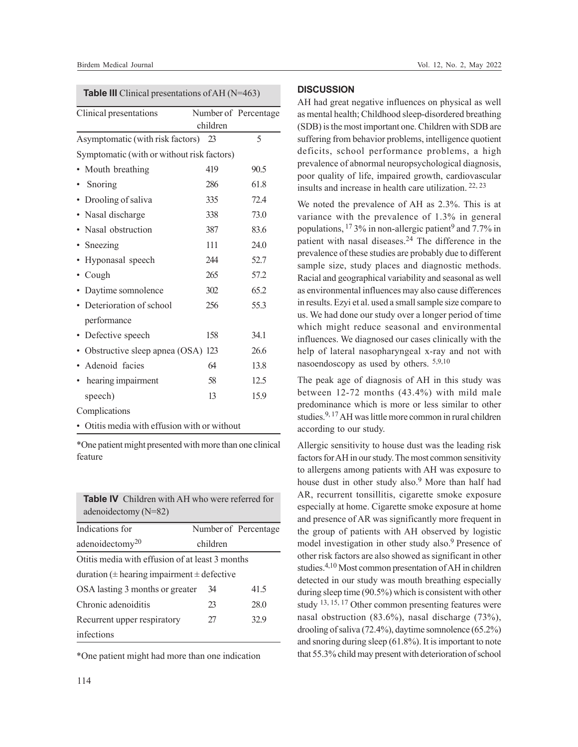**Table III** Clinical presentations of AH (N=463)

| Clinical presentations                     |          | Number of Percentage |
|--------------------------------------------|----------|----------------------|
|                                            | children |                      |
| Asymptomatic (with risk factors) 23        |          | 5                    |
| Symptomatic (with or without risk factors) |          |                      |
| Mouth breathing                            | 419      | 90.5                 |
| Snoring                                    | 286      | 61.8                 |
| • Drooling of saliva                       | 335      | 72.4                 |
| Nasal discharge                            | 338      | 73.0                 |
| Nasal obstruction                          | 387      | 83.6                 |
| Sneezing                                   | 111      | 24.0                 |
| Hyponasal speech                           | 244      | 52.7                 |
| Cough                                      | 265      | 57.2                 |
| Daytime somnolence                         | 302      | 65.2                 |
| Deterioration of school                    | 256      | 55.3                 |
| performance                                |          |                      |
| Defective speech                           | 158      | 34.1                 |
| Obstructive sleep apnea (OSA)              | 123      | 26.6                 |
| Adenoid facies                             | 64       | 13.8                 |
| hearing impairment                         | 58       | 12.5                 |
| speech)                                    | 13       | 15.9                 |
| Complications                              |          |                      |

• Otitis media with effusion with or without

\*One patient might presented with more than one clinical feature

| <b>Table IV</b> Children with AH who were referred for<br>adenoidectomy $(N=82)$ |          |                      |  |
|----------------------------------------------------------------------------------|----------|----------------------|--|
| Indications for                                                                  |          | Number of Percentage |  |
| adenoidectomy <sup>20</sup>                                                      | children |                      |  |
| Otitis media with effusion of at least 3 months                                  |          |                      |  |
| duration ( $\pm$ hearing impairment $\pm$ defective                              |          |                      |  |
| OSA lasting 3 months or greater                                                  | 34       | 41.5                 |  |
| Chronic adenoiditis                                                              | 23       | 28.0                 |  |
| Recurrent upper respiratory                                                      | 27       | 32.9                 |  |
| infections                                                                       |          |                      |  |

\*One patient might had more than one indication

## **DISCUSSION**

AH had great negative influences on physical as well as mental health; Childhood sleep-disordered breathing (SDB) is the most important one. Children with SDB are suffering from behavior problems, intelligence quotient deficits, school performance problems, a high prevalence of abnormal neuropsychological diagnosis, poor quality of life, impaired growth, cardiovascular insults and increase in health care utilization. 22, 23

We noted the prevalence of AH as 2.3%. This is at variance with the prevalence of 1.3% in general populations, <sup>17</sup> 3% in non-allergic patient<sup>9</sup> and 7.7% in patient with nasal diseases.24 The difference in the prevalence of these studies are probably due to different sample size, study places and diagnostic methods. Racial and geographical variability and seasonal as well as environmental influences may also cause differences in results. Ezyi et al. used a small sample size compare to us. We had done our study over a longer period of time which might reduce seasonal and environmental influences. We diagnosed our cases clinically with the help of lateral nasopharyngeal x-ray and not with nasoendoscopy as used by others. 5,9,10

The peak age of diagnosis of AH in this study was between 12-72 months (43.4%) with mild male predominance which is more or less similar to other studies.9, 17 AH was little more common in rural children according to our study.

Allergic sensitivity to house dust was the leading risk factors for AH in our study. The most common sensitivity to allergens among patients with AH was exposure to house dust in other study also.<sup>9</sup> More than half had AR, recurrent tonsillitis, cigarette smoke exposure especially at home. Cigarette smoke exposure at home and presence of AR was significantly more frequent in the group of patients with AH observed by logistic model investigation in other study also.<sup>9</sup> Presence of other risk factors are also showed as significant in other studies.4,10 Most common presentation of AH in children detected in our study was mouth breathing especially during sleep time (90.5%) which is consistent with other study 13, 15, 17 Other common presenting features were nasal obstruction (83.6%), nasal discharge (73%), drooling of saliva (72.4%), daytime somnolence (65.2%) and snoring during sleep (61.8%). It is important to note that 55.3% child may present with deterioration of school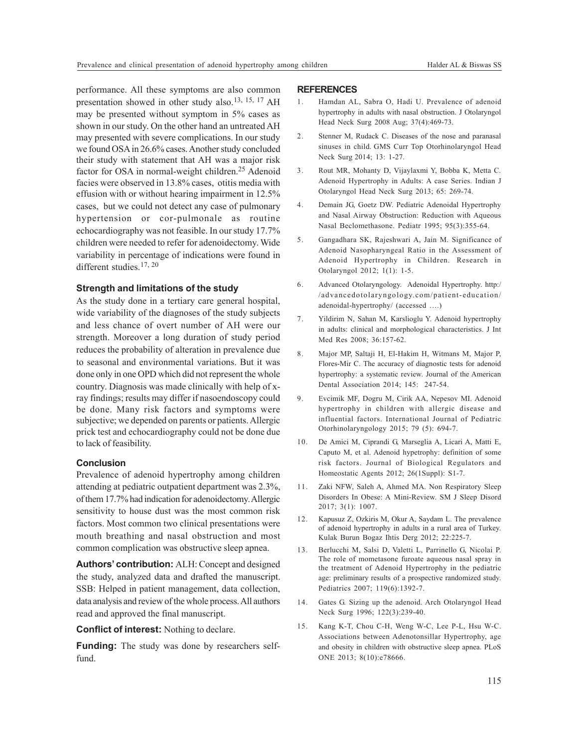performance. All these symptoms are also common presentation showed in other study also.<sup>13, 15, 17</sup> AH may be presented without symptom in 5% cases as shown in our study. On the other hand an untreated AH may presented with severe complications. In our study we found OSA in 26.6% cases. Another study concluded their study with statement that AH was a major risk factor for OSA in normal-weight children.<sup>25</sup> Adenoid facies were observed in 13.8% cases, otitis media with effusion with or without hearing impairment in 12.5% cases, but we could not detect any case of pulmonary hypertension or cor-pulmonale as routine echocardiography was not feasible. In our study 17.7% children were needed to refer for adenoidectomy. Wide variability in percentage of indications were found in different studies.<sup>17, 20</sup>

#### **Strength and limitations of the study**

As the study done in a tertiary care general hospital, wide variability of the diagnoses of the study subjects and less chance of overt number of AH were our strength. Moreover a long duration of study period reduces the probability of alteration in prevalence due to seasonal and environmental variations. But it was done only in one OPD which did not represent the whole country. Diagnosis was made clinically with help of xray findings; results may differ if nasoendoscopy could be done. Many risk factors and symptoms were subjective; we depended on parents or patients. Allergic prick test and echocardiography could not be done due to lack of feasibility.

#### **Conclusion**

Prevalence of adenoid hypertrophy among children attending at pediatric outpatient department was 2.3%, of them 17.7% had indication for adenoidectomy. Allergic sensitivity to house dust was the most common risk factors. Most common two clinical presentations were mouth breathing and nasal obstruction and most common complication was obstructive sleep apnea.

**Authors' contribution:** ALH: Concept and designed the study, analyzed data and drafted the manuscript. SSB: Helped in patient management, data collection, data analysis and review of the whole process. All authors read and approved the final manuscript.

**Conflict of interest:** Nothing to declare.

**Funding:** The study was done by researchers selffund.

#### **REFERENCES**

- 1. Hamdan AL, Sabra O, Hadi U. Prevalence of adenoid hypertrophy in adults with nasal obstruction. J Otolaryngol Head Neck Surg 2008 Aug; 37(4):469-73.
- 2. Stenner M, Rudack C. Diseases of the nose and paranasal sinuses in child. GMS Curr Top Otorhinolaryngol Head Neck Surg 2014; 13: 1-27.
- 3. Rout MR, Mohanty D, Vijaylaxmi Y, Bobba K, Metta C. Adenoid Hypertrophy in Adults: A case Series. Indian J Otolaryngol Head Neck Surg 2013; 65: 269-74.
- 4. Demain JG, Goetz DW. Pediatric Adenoidal Hypertrophy and Nasal Airway Obstruction: Reduction with Aqueous Nasal Beclomethasone. Pediatr 1995; 95(3):355-64.
- 5. Gangadhara SK, Rajeshwari A, Jain M. Significance of Adenoid Nasopharyngeal Ratio in the Assessment of Adenoid Hypertrophy in Children. Research in Otolaryngol 2012; 1(1): 1-5.
- 6. Advanced Otolaryngology. Adenoidal Hypertrophy. http:/ /advancedotolaryngology.com/patient-education/ adenoidal-hypertrophy/ (accessed ….)
- 7. Yildirim N, Sahan M, Karslioglu Y. Adenoid hypertrophy in adults: clinical and morphological characteristics. J Int Med Res 2008; 36:157-62.
- 8. Major MP, Saltaji H, El-Hakim H, Witmans M, Major P, Flores-Mir C. The accuracy of diagnostic tests for adenoid hypertrophy: a systematic review. Journal of the American Dental Association 2014; 145: 247-54.
- 9. Evcimik MF, Dogru M, Cirik AA, Nepesov MI. Adenoid hypertrophy in children with allergic disease and influential factors. International Journal of Pediatric Otorhinolaryngology 2015; 79 (5): 694-7.
- 10. De Amici M, Ciprandi G, Marseglia A, Licari A, Matti E, Caputo M, et al. Adenoid hypetrophy: definition of some risk factors. Journal of Biological Regulators and Homeostatic Agents 2012; 26(1Suppl): S1-7.
- 11. Zaki NFW, Saleh A, Ahmed MA. Non Respiratory Sleep Disorders In Obese: A Mini-Review. SM J Sleep Disord 2017; 3(1): 1007.
- 12. Kapusuz Z, Ozkiris M, Okur A, Saydam L. The prevalence of adenoid hypertrophy in adults in a rural area of Turkey. Kulak Burun Bogaz Ihtis Derg 2012; 22:225-7.
- 13. Berlucchi M, Salsi D, Valetti L, Parrinello G, Nicolai P. The role of mometasone furoate aqueous nasal spray in the treatment of Adenoid Hypertrophy in the pediatric age: preliminary results of a prospective randomized study. Pediatrics 2007; 119(6):1392-7.
- 14. Gates G. Sizing up the adenoid. Arch Otolaryngol Head Neck Surg 1996; 122(3):239-40.
- 15. Kang K-T, Chou C-H, Weng W-C, Lee P-L, Hsu W-C. Associations between Adenotonsillar Hypertrophy, age and obesity in children with obstructive sleep apnea. PLoS ONE 2013; 8(10):e78666.